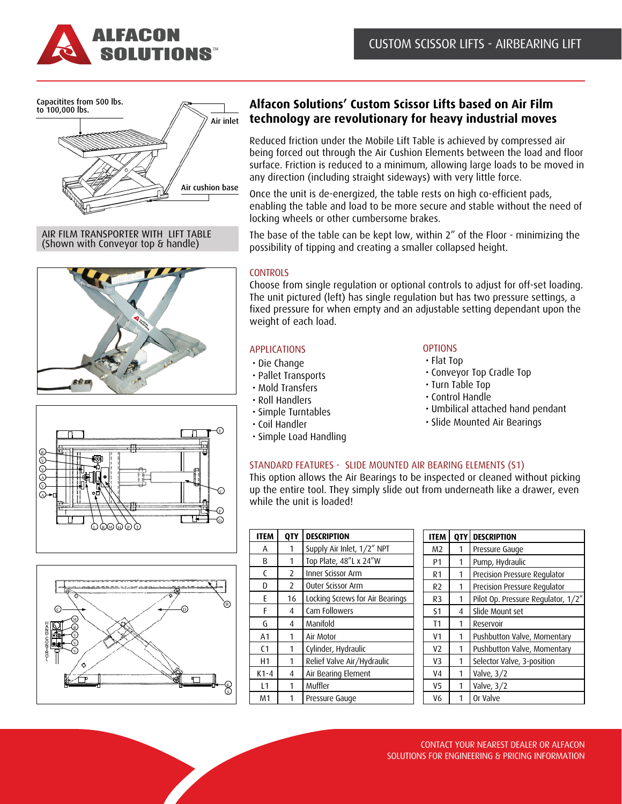



AIR FILM TRANSPORTER WITH LIFT TABLE (Shown with Conveyor top & handle)







# **Alfacon Solutions' Custom Scissor Lifts based on Air Film technology are revolutionary for heavy industrial moves**

Reduced friction under the Mobile Lift Table is achieved by compressed air being forced out through the Air Cushion Elements between the load and floor surface. Friction is reduced to a minimum, allowing large loads to be moved in any direction (including straight sideways) with very little force.

Once the unit is de-energized, the table rests on high co-efficient pads, enabling the table and load to be more secure and stable without the need of locking wheels or other cumbersome brakes.

The base of the table can be kept low, within 2" of the Floor - minimizing the possibility of tipping and creating a smaller collapsed height.

## **CONTROLS**

Choose from single regulation or optional controls to adjust for off-set loading. The unit pictured (left) has single regulation but has two pressure settings, a fixed pressure for when empty and an adjustable setting dependant upon the weight of each load.

# APPLICATIONS

- Die Change
- Pallet Transports
- Mold Transfers
- Roll Handlers
- Simple Turntables
- Coil Handler
- Simple Load Handling

# **OPTIONS**

- Flat Top
- Conveyor Top Cradle Top
- Turn Table Top
- Control Handle
- Umbilical attached hand pendant
- Slide Mounted Air Bearings

## STANDARD FEATURES - SLIDE MOUNTED AIR BEARING ELEMENTS (S1)

This option allows the Air Bearings to be inspected or cleaned without picking up the entire tool. They simply slide out from underneath like a drawer, even while the unit is loaded!

| <b>ITEM</b>    | <b>QTY</b>     | <b>DESCRIPTION</b>              |
|----------------|----------------|---------------------------------|
| Α              | 1              | Supply Air Inlet, 1/2" NPT      |
| R              | 1              | Top Plate, 48"L x 24"W          |
| C              | $\overline{2}$ | Inner Scissor Arm               |
| D              | $\overline{2}$ | Outer Scissor Arm               |
| F              | 16             | Locking Screws for Air Bearings |
| F              | 4              | Cam Followers                   |
| G              | 4              | Manifold                        |
| A <sub>1</sub> | 1              | Air Motor                       |
| C <sub>1</sub> | 1              | Cylinder, Hydraulic             |
| H1             | 1              | Relief Valve Air/Hydraulic      |
| $K1-4$         | 4              | Air Bearing Element             |
| 1              | 1              | Muffler                         |
| M1             |                | Pressure Gauge                  |

| <b>ITEM</b>    | <b>QTY</b> | <b>DESCRIPTION</b>                 |
|----------------|------------|------------------------------------|
| M <sub>2</sub> | 1          | Pressure Gauge                     |
| P1             | 1          | Pump, Hydraulic                    |
| R <sub>1</sub> | 1          | Precision Pressure Regulator       |
| R <sub>2</sub> | 1          | Precision Pressure Regulator       |
| R <sub>3</sub> | 1          | Pilot Op. Pressure Regulator, 1/2" |
| S <sub>1</sub> | 4          | Slide Mount set                    |
| T <sub>1</sub> | 1          | Reservoir                          |
| V <sub>1</sub> | 1          | Pushbutton Valve, Momentary        |
| V <sub>2</sub> | 1          | Pushbutton Valve, Momentary        |
| V <sub>3</sub> | 1          | Selector Valve, 3-position         |
| V <sub>4</sub> | 1          | Valve, $3/2$                       |
| V <sub>5</sub> | 1          | Valve, $3/2$                       |
| V <sub>6</sub> |            | Or Valve                           |